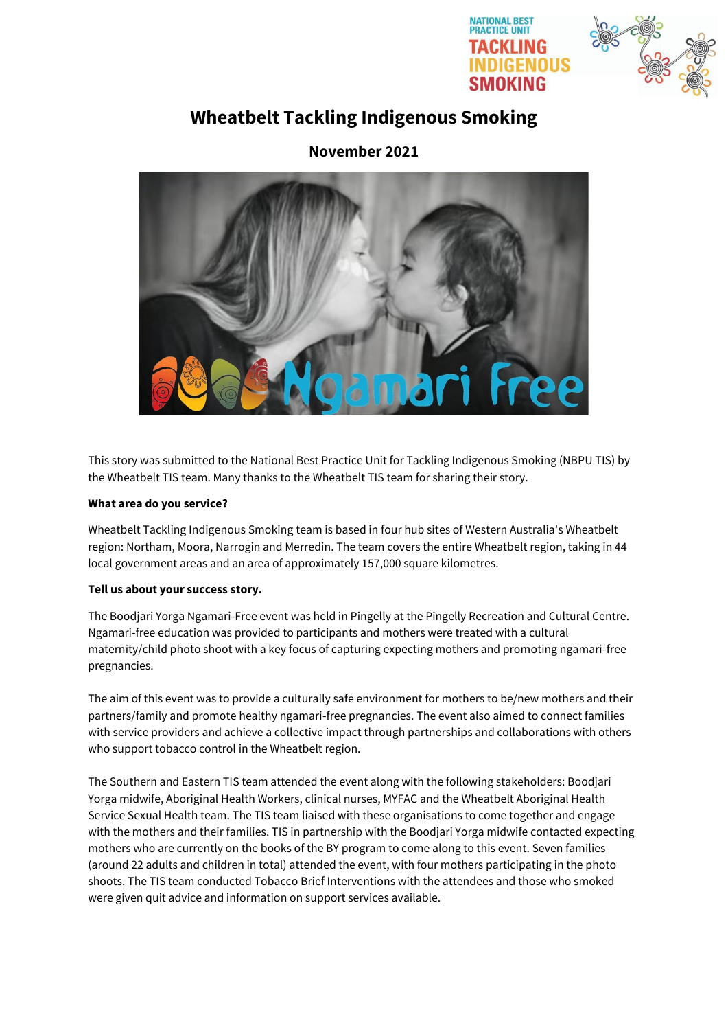



# **Wheatbelt Tackling Indigenous Smoking**

# **November 2021**



This story was submitted to the National Best Practice Unit for Tackling Indigenous Smoking (NBPU TIS) by the Wheatbelt TIS team. Many thanks to the Wheatbelt TIS team for sharing their story.

## **What area do you service?**

Wheatbelt Tackling Indigenous Smoking team is based in four hub sites of Western Australia's Wheatbelt region: Northam, Moora, Narrogin and Merredin. The team covers the entire Wheatbelt region, taking in 44 local government areas and an area of approximately 157,000 square kilometres.

## **Tell us about your success story.**

The Boodjari Yorga Ngamari-Free event was held in Pingelly at the Pingelly Recreation and Cultural Centre. Ngamari-free education was provided to participants and mothers were treated with a cultural maternity/child photo shoot with a key focus of capturing expecting mothers and promoting ngamari-free pregnancies.

The aim of this event was to provide a culturally safe environment for mothers to be/new mothers and their partners/family and promote healthy ngamari-free pregnancies. The event also aimed to connect families with service providers and achieve a collective impact through partnerships and collaborations with others who support tobacco control in the Wheatbelt region.

The Southern and Eastern TIS team attended the event along with the following stakeholders: Boodjari Yorga midwife, Aboriginal Health Workers, clinical nurses, MYFAC and the Wheatbelt Aboriginal Health Service Sexual Health team. The TIS team liaised with these organisations to come together and engage with the mothers and their families. TIS in partnership with the Boodjari Yorga midwife contacted expecting mothers who are currently on the books of the BY program to come along to this event. Seven families (around 22 adults and children in total) attended the event, with four mothers participating in the photo shoots. The TIS team conducted Tobacco Brief Interventions with the attendees and those who smoked were given quit advice and information on support services available.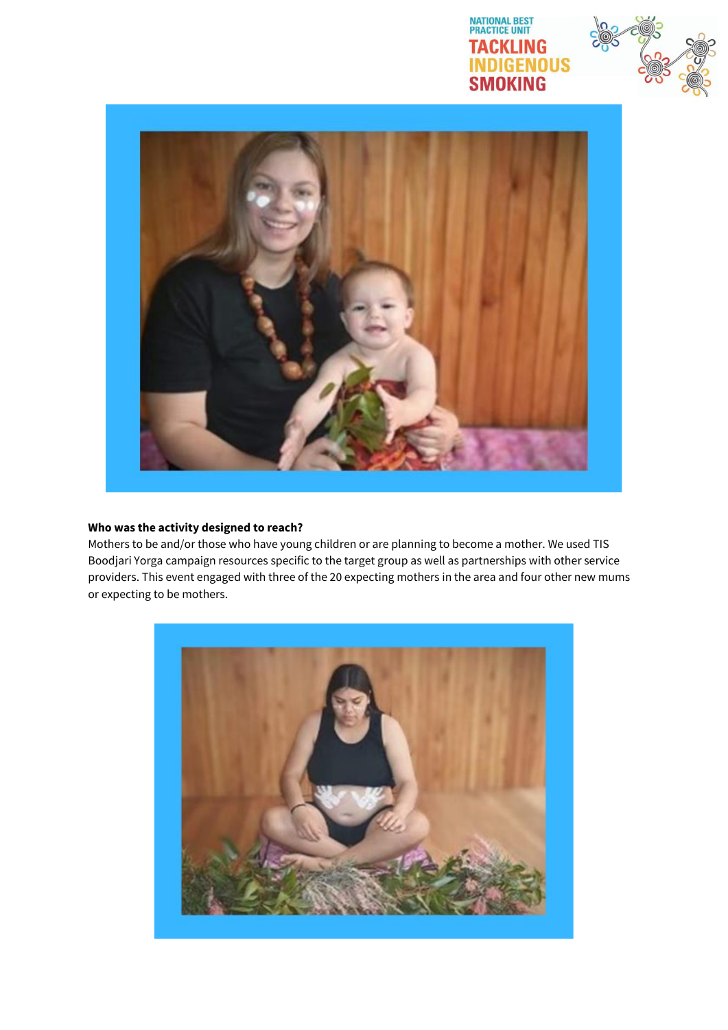





#### **Who was the activity designed to reach?**

Mothers to be and/or those who have young children or are planning to become a mother. We used TIS Boodjari Yorga campaign resources specific to the target group as well as partnerships with other service providers. This event engaged with three of the 20 expecting mothers in the area and four other new mums or expecting to be mothers.